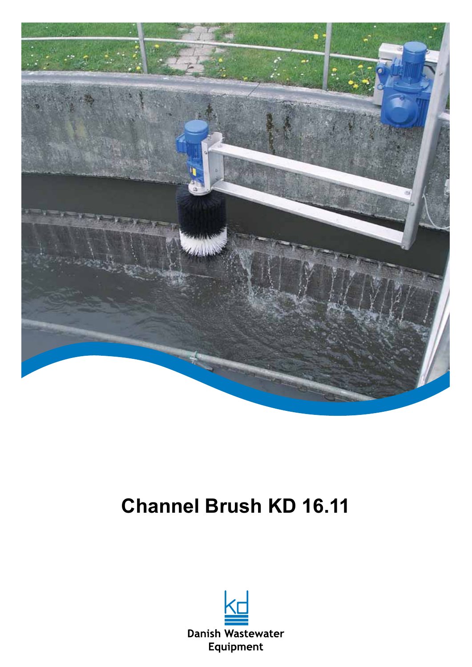

## **Channel Brush KD 16.11**